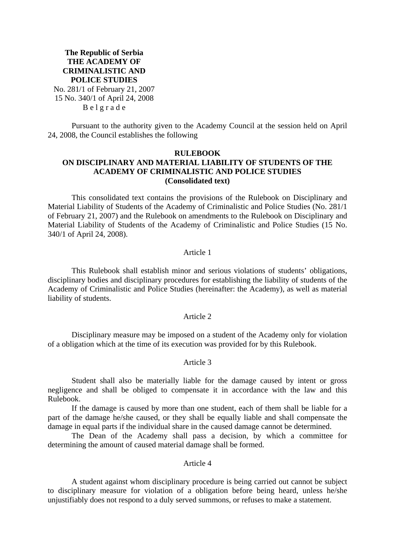# **The Republic of Serbia THE ACADEMY OF CRIMINALISTIC AND POLICE STUDIES**  No. 281/1 of February 21, 2007 15 No. 340/1 of April 24, 2008 B e l g r a d e

Pursuant to the authority given to the Academy Council at the session held on April 24, 2008, the Council establishes the following

# **RULEBOOK**

## **ON DISCIPLINARY AND MATERIAL LIABILITY OF STUDENTS OF THE ACADEMY OF CRIMINALISTIC AND POLICE STUDIES (Consolidated text)**

This consolidated text contains the provisions of the Rulebook on Disciplinary and Material Liability of Students of the Academy of Criminalistic and Police Studies (No. 281/1 of February 21, 2007) and the Rulebook on amendments to the Rulebook on Disciplinary and Material Liability of Students of the Academy of Criminalistic and Police Studies (15 No. 340/1 of April 24, 2008).

# Article 1

This Rulebook shall establish minor and serious violations of students' obligations, disciplinary bodies and disciplinary procedures for establishing the liability of students of the Academy of Criminalistic and Police Studies (hereinafter: the Academy), as well as material liability of students.

## Article 2

Disciplinary measure may be imposed on a student of the Academy only for violation of a obligation which at the time of its execution was provided for by this Rulebook.

# Article 3

Student shall also be materially liable for the damage caused by intent or gross negligence and shall be obliged to compensate it in accordance with the law and this Rulebook.

If the damage is caused by more than one student, each of them shall be liable for a part of the damage he/she caused, or they shall be equally liable and shall compensate the damage in equal parts if the individual share in the caused damage cannot be determined.

The Dean of the Academy shall pass a decision, by which a committee for determining the amount of caused material damage shall be formed.

## Article 4

A student against whom disciplinary procedure is being carried out cannot be subject to disciplinary measure for violation of a obligation before being heard, unless he/she unjustifiably does not respond to a duly served summons, or refuses to make a statement.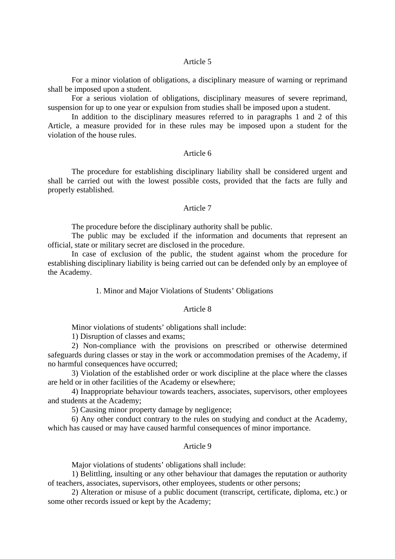## Article 5

For a minor violation of obligations, a disciplinary measure of warning or reprimand shall be imposed upon a student.

For a serious violation of obligations, disciplinary measures of severe reprimand, suspension for up to one year or expulsion from studies shall be imposed upon a student.

In addition to the disciplinary measures referred to in paragraphs 1 and 2 of this Article, a measure provided for in these rules may be imposed upon a student for the violation of the house rules.

#### Article 6

The procedure for establishing disciplinary liability shall be considered urgent and shall be carried out with the lowest possible costs, provided that the facts are fully and properly established.

## Article 7

The procedure before the disciplinary authority shall be public.

The public may be excluded if the information and documents that represent an official, state or military secret are disclosed in the procedure.

In case of exclusion of the public, the student against whom the procedure for establishing disciplinary liability is being carried out can be defended only by an employee of the Academy.

### 1. Minor and Major Violations of Students' Obligations

## Article 8

Minor violations of students' obligations shall include:

1) Disruption of classes and exams;

2) Non-compliance with the provisions on prescribed or otherwise determined safeguards during classes or stay in the work or accommodation premises of the Academy, if no harmful consequences have occurred;

3) Violation of the established order or work discipline at the place where the classes are held or in other facilities of the Academy or elsewhere;

4) Inappropriate behaviour towards teachers, associates, supervisors, other employees and students at the Academy;

5) Causing minor property damage by negligence;

6) Any other conduct contrary to the rules on studying and conduct at the Academy, which has caused or may have caused harmful consequences of minor importance.

## Article 9

Major violations of students' obligations shall include:

1) Belittling, insulting or any other behaviour that damages the reputation or authority of teachers, associates, supervisors, other employees, students or other persons;

2) Alteration or misuse of a public document (transcript, certificate, diploma, etc.) or some other records issued or kept by the Academy;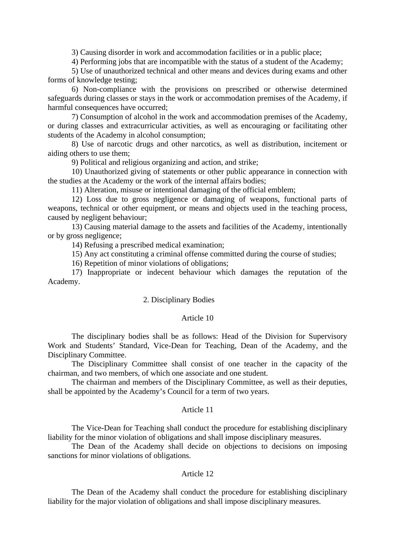3) Causing disorder in work and accommodation facilities or in a public place;

4) Performing jobs that are incompatible with the status of a student of the Academy;

5) Use of unauthorized technical and other means and devices during exams and other forms of knowledge testing;

6) Non-compliance with the provisions on prescribed or otherwise determined safeguards during classes or stays in the work or accommodation premises of the Academy, if harmful consequences have occurred;

7) Consumption of alcohol in the work and accommodation premises of the Academy, or during classes and extracurricular activities, as well as encouraging or facilitating other students of the Academy in alcohol consumption;

8) Use of narcotic drugs and other narcotics, as well as distribution, incitement or aiding others to use them;

9) Political and religious organizing and action, and strike;

10) Unauthorized giving of statements or other public appearance in connection with the studies at the Academy or the work of the internal affairs bodies;

11) Alteration, misuse or intentional damaging of the official emblem;

12) Loss due to gross negligence or damaging of weapons, functional parts of weapons, technical or other equipment, or means and objects used in the teaching process, caused by negligent behaviour;

13) Causing material damage to the assets and facilities of the Academy, intentionally or by gross negligence;

14) Refusing a prescribed medical examination;

15) Any act constituting a criminal offense committed during the course of studies;

16) Repetition of minor violations of obligations;

17) Inappropriate or indecent behaviour which damages the reputation of the Academy.

#### 2. Disciplinary Bodies

## Article 10

The disciplinary bodies shall be as follows: Head of the Division for Supervisory Work and Students' Standard, Vice-Dean for Teaching, Dean of the Academy, and the Disciplinary Committee.

The Disciplinary Committee shall consist of one teacher in the capacity of the chairman, and two members, of which one associate and one student.

The chairman and members of the Disciplinary Committee, as well as their deputies, shall be appointed by the Academy's Council for a term of two years.

### Article 11

The Vice-Dean for Teaching shall conduct the procedure for establishing disciplinary liability for the minor violation of obligations and shall impose disciplinary measures.

The Dean of the Academy shall decide on objections to decisions on imposing sanctions for minor violations of obligations.

### Article 12

The Dean of the Academy shall conduct the procedure for establishing disciplinary liability for the major violation of obligations and shall impose disciplinary measures.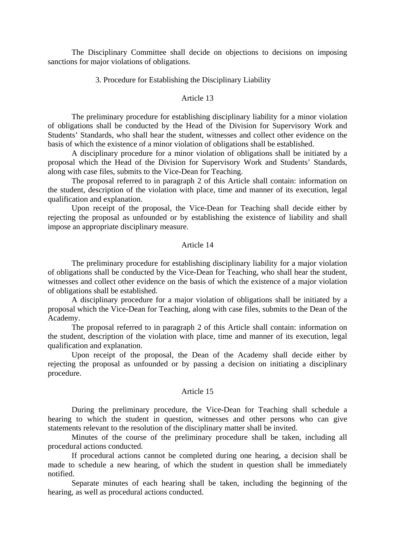The Disciplinary Committee shall decide on objections to decisions on imposing sanctions for major violations of obligations.

3. Procedure for Establishing the Disciplinary Liability

## Article 13

The preliminary procedure for establishing disciplinary liability for a minor violation of obligations shall be conducted by the Head of the Division for Supervisory Work and Students' Standards, who shall hear the student, witnesses and collect other evidence on the basis of which the existence of a minor violation of obligations shall be established.

A disciplinary procedure for a minor violation of obligations shall be initiated by a proposal which the Head of the Division for Supervisory Work and Students' Standards, along with case files, submits to the Vice-Dean for Teaching.

The proposal referred to in paragraph 2 of this Article shall contain: information on the student, description of the violation with place, time and manner of its execution, legal qualification and explanation.

Upon receipt of the proposal, the Vice-Dean for Teaching shall decide either by rejecting the proposal as unfounded or by establishing the existence of liability and shall impose an appropriate disciplinary measure.

#### Article 14

The preliminary procedure for establishing disciplinary liability for a major violation of obligations shall be conducted by the Vice-Dean for Teaching, who shall hear the student, witnesses and collect other evidence on the basis of which the existence of a major violation of obligations shall be established.

A disciplinary procedure for a major violation of obligations shall be initiated by a proposal which the Vice-Dean for Teaching, along with case files, submits to the Dean of the Academy.

The proposal referred to in paragraph 2 of this Article shall contain: information on the student, description of the violation with place, time and manner of its execution, legal qualification and explanation.

Upon receipt of the proposal, the Dean of the Academy shall decide either by rejecting the proposal as unfounded or by passing a decision on initiating a disciplinary procedure.

#### Article 15

During the preliminary procedure, the Vice-Dean for Teaching shall schedule a hearing to which the student in question, witnesses and other persons who can give statements relevant to the resolution of the disciplinary matter shall be invited.

Minutes of the course of the preliminary procedure shall be taken, including all procedural actions conducted.

If procedural actions cannot be completed during one hearing, a decision shall be made to schedule a new hearing, of which the student in question shall be immediately notified.

Separate minutes of each hearing shall be taken, including the beginning of the hearing, as well as procedural actions conducted.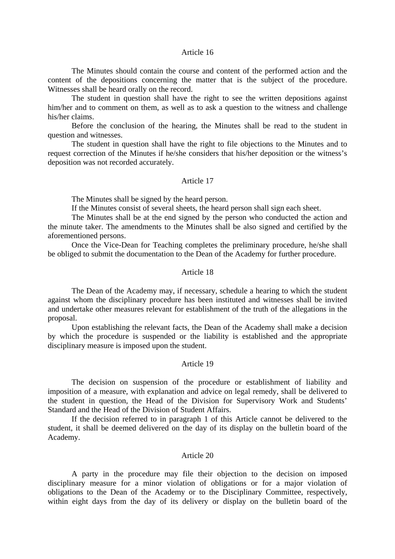## Article 16

The Minutes should contain the course and content of the performed action and the content of the depositions concerning the matter that is the subject of the procedure. Witnesses shall be heard orally on the record.

The student in question shall have the right to see the written depositions against him/her and to comment on them, as well as to ask a question to the witness and challenge his/her claims.

Before the conclusion of the hearing, the Minutes shall be read to the student in question and witnesses.

The student in question shall have the right to file objections to the Minutes and to request correction of the Minutes if he/she considers that his/her deposition or the witness's deposition was not recorded accurately.

#### Article 17

The Minutes shall be signed by the heard person.

If the Minutes consist of several sheets, the heard person shall sign each sheet.

The Minutes shall be at the end signed by the person who conducted the action and the minute taker. The amendments to the Minutes shall be also signed and certified by the aforementioned persons.

Once the Vice-Dean for Teaching completes the preliminary procedure, he/she shall be obliged to submit the documentation to the Dean of the Academy for further procedure.

## Article 18

The Dean of the Academy may, if necessary, schedule a hearing to which the student against whom the disciplinary procedure has been instituted and witnesses shall be invited and undertake other measures relevant for establishment of the truth of the allegations in the proposal.

Upon establishing the relevant facts, the Dean of the Academy shall make a decision by which the procedure is suspended or the liability is established and the appropriate disciplinary measure is imposed upon the student.

#### Article 19

The decision on suspension of the procedure or establishment of liability and imposition of a measure, with explanation and advice on legal remedy, shall be delivered to the student in question, the Head of the Division for Supervisory Work and Students' Standard and the Head of the Division of Student Affairs.

If the decision referred to in paragraph 1 of this Article cannot be delivered to the student, it shall be deemed delivered on the day of its display on the bulletin board of the Academy.

## Article 20

A party in the procedure may file their objection to the decision on imposed disciplinary measure for a minor violation of obligations or for a major violation of obligations to the Dean of the Academy or to the Disciplinary Committee, respectively, within eight days from the day of its delivery or display on the bulletin board of the